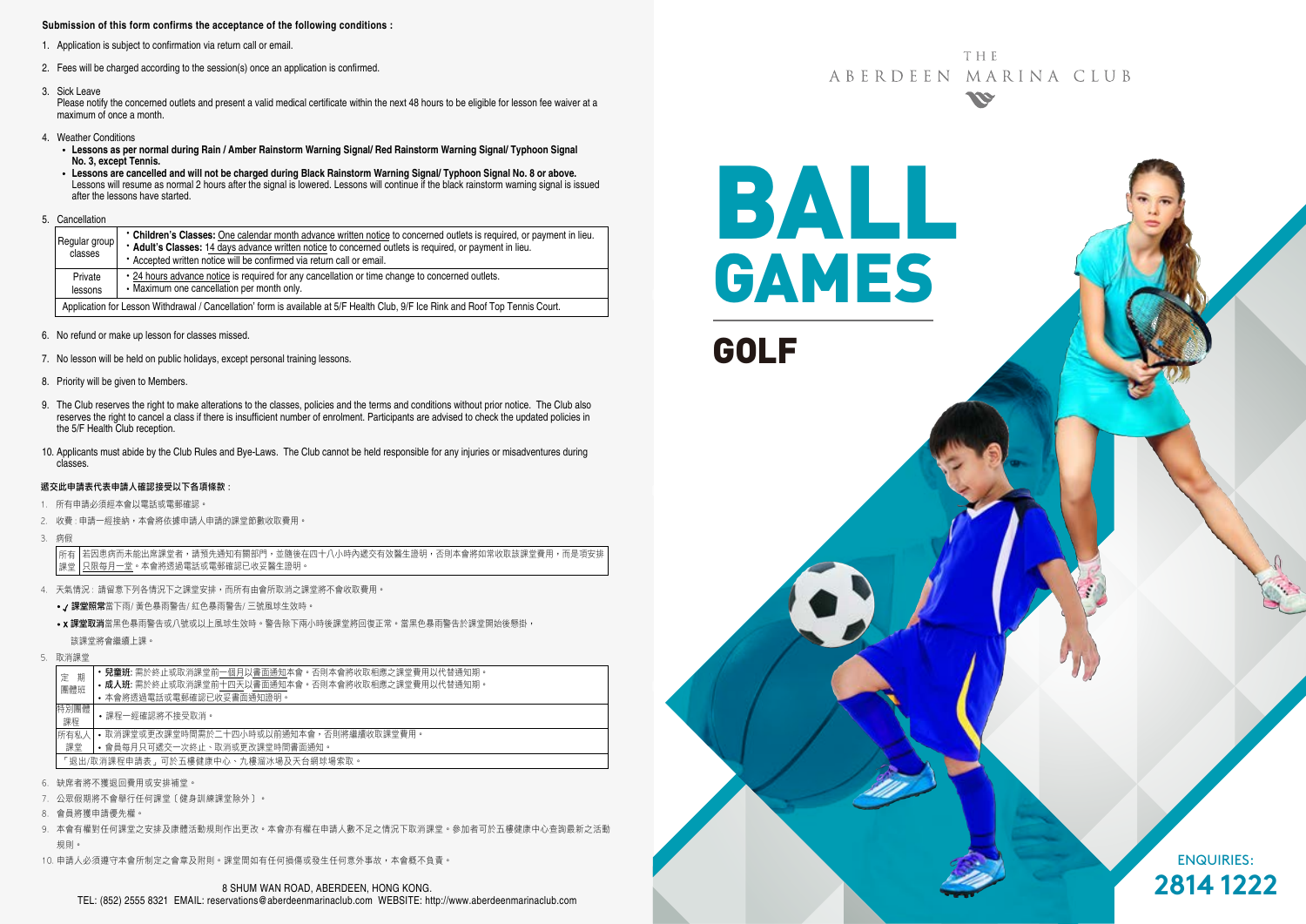#### **Submission of this form confirms the acceptance of the following conditions :**

- 1. Application is subject to confirmation via return call or email.
- 2. Fees will be charged according to the session(s) once an application is confirmed.
- 3. Sick Leave

Please notify the concerned outlets and present a valid medical certificate within the next 48 hours to be eligible for lesson fee waiver at a maximum of once a month.

- 4. Weather Conditions
	- **Lessons as per normal during Rain / Amber Rainstorm Warning Signal/ Red Rainstorm Warning Signal/ Typhoon Signal No. 3, except Tennis.**
	- **Lessons are cancelled and will not be charged during Black Rainstorm Warning Signal/ Typhoon Signal No. 8 or above.** Lessons will resume as normal 2 hours after the signal is lowered. Lessons will continue if the black rainstorm warning signal is issued after the lessons have started.
- 5. Cancellation

| Regular group<br>classes                                                                                                        | • Children's Classes: One calendar month advance written notice to concerned outlets is required, or payment in lieu.<br>* Adult's Classes: 14 days advance written notice to concerned outlets is required, or payment in lieu.<br>• Accepted written notice will be confirmed via return call or email. |  |  |  |  |  |
|---------------------------------------------------------------------------------------------------------------------------------|-----------------------------------------------------------------------------------------------------------------------------------------------------------------------------------------------------------------------------------------------------------------------------------------------------------|--|--|--|--|--|
| Private<br>lessons                                                                                                              | • 24 hours advance notice is required for any cancellation or time change to concerned outlets.<br>• Maximum one cancellation per month only.                                                                                                                                                             |  |  |  |  |  |
| Application for Lesson Withdrawal / Cancellation' form is available at 5/F Health Club, 9/F Ice Rink and Roof Top Tennis Court. |                                                                                                                                                                                                                                                                                                           |  |  |  |  |  |

- 6. No refund or make up lesson for classes missed.
- 7. No lesson will be held on public holidays, except personal training lessons.
- 8. Priority will be given to Members.
- 9. The Club reserves the right to make alterations to the classes, policies and the terms and conditions without prior notice. The Club also reserves the right to cancel a class if there is insufficient number of enrolment. Participants are advised to check the updated policies in the 5/F Health Club reception.
- 10. Applicants must abide by the Club Rules and Bye-Laws. The Club cannot be held responsible for any injuries or misadventures during classes.

#### 遞交此申請表代表申請人確認接受以下各項條款 :

- 1. 所有申請必須經本會以電話或電郵確認。
- 2. 收費: 申請一經接納, 本會將依據申請人申請的課堂節數收取費用,
- 3. 病假

若因患病而未能出席課堂者,請預先通知有關部門,並隨後在四十八小時內遞交有效醫生證明,否則本會將如常收取該課堂費用,而是項安排 只限每月一堂。本會將透過電話或電郵確認已收妥醫生證明。 所有 課堂

- 4. 天氣情況 : 請留意下列各情況下之課堂安排,而所有由會所取消之課堂將不會收取費用。
	- / 課堂照常當下雨/ 黃色暴雨警告/ 紅色暴雨警告/ 三號風球生效時。
	- x 課堂取消當黑色暴雨警告或八號或以上風球生效時。警告除下兩小時後課堂將回復正常。當黑色暴雨警告於課堂開始後懸掛, 該課堂將會繼續上課。
- 5. 取消課堂

| 期                                   | • 兒童班: 需於終止或取消課堂前一個月以書面通知本會。否則本會將收取相應之課堂費用以代替通知期。 |  |  |  |  |  |
|-------------------------------------|---------------------------------------------------|--|--|--|--|--|
| 定                                   | • 成人班: 需於終止或取消課堂前十四天以書面通知本會。否則本會將收取相應之課堂費用以代替通知期。 |  |  |  |  |  |
| 團體班                                 | • 本會將诱過電話或電郵確認已收妥書面通知證明。                          |  |  |  |  |  |
| 特別團體<br>課程                          | •課程一經確認將不接受取消。                                    |  |  |  |  |  |
| 所有私人                                | • 取消課堂或更改課堂時間需於二十四小時或以前捅知本會,否則將繼續收取課堂費用。          |  |  |  |  |  |
| 課堂                                  | • 會員每月只可遞交一次終止、取消或更改課堂時間書面通知。                     |  |  |  |  |  |
| 「退出/取消課程申請表」可於五樓健康中心、九樓溜冰場及天台網球場索取。 |                                                   |  |  |  |  |  |

- 6. 缺席者將不獲退回費用或安排補堂。
- 7. 公眾假期將不會舉行任何課堂﹝健身訓練課堂除外﹞。
- 8. 會員將獲申請優先權。
- 9. 本會有權對任何課堂之安排及康體活動規則作出更改。本會亦有權在申請人數不足之情況下取消課堂。參加者可於五樓健康中心查詢最新之活動 規則。
- 10. 申請人必須遵守本會所制定之會章及附則。課堂間如有任何損傷或發生任何意外事故,本會概不負責。